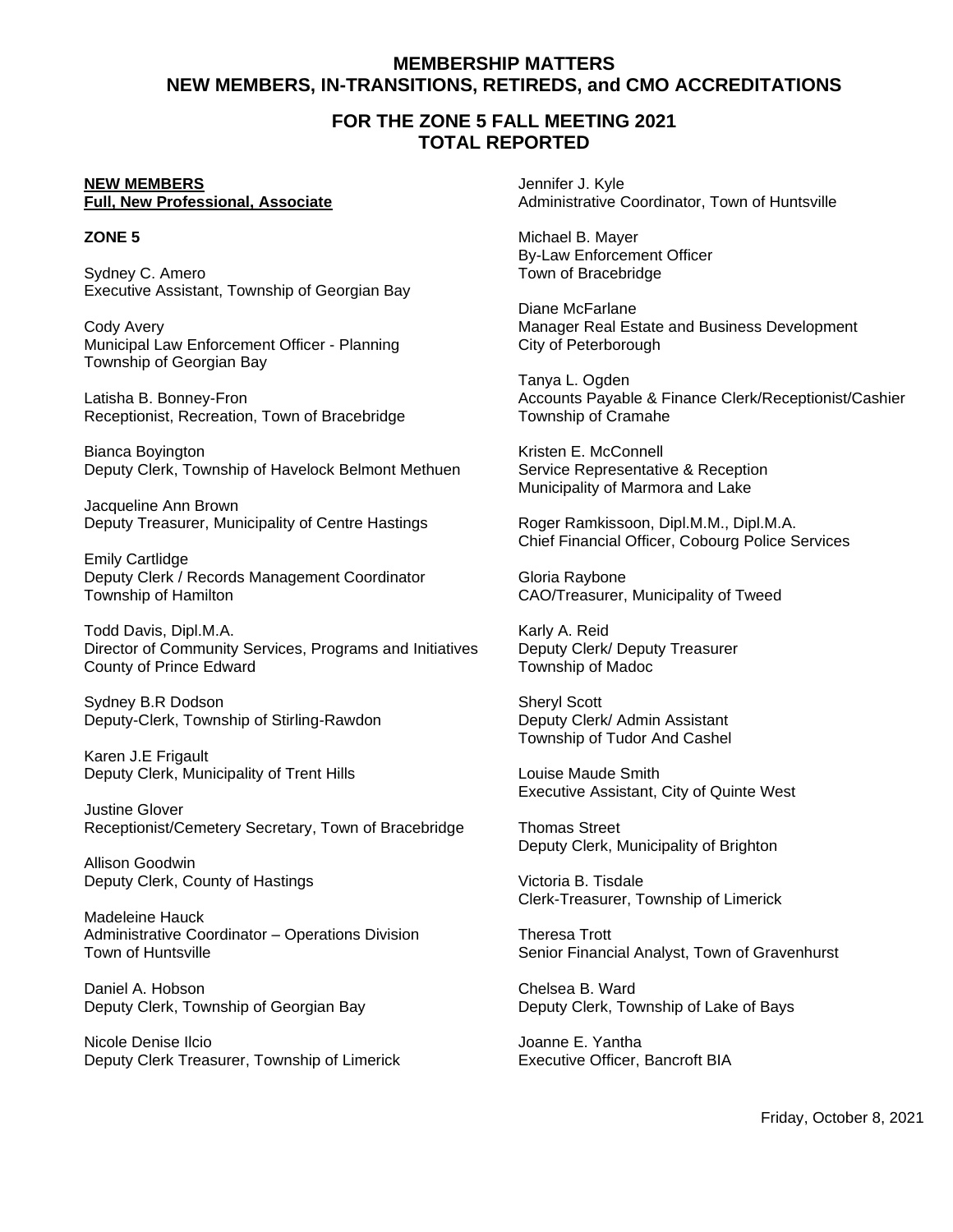# **MEMBERSHIP MATTERS NEW MEMBERS, IN-TRANSITIONS, RETIREDS, and CMO ACCREDITATIONS**

# **FOR THE ZONE 5 FALL MEETING 2021 TOTAL REPORTED**

# **NEW MEMBERS**

### **Full, New Professional, Associate**

## **ZONE 5**

Sydney C. Amero Executive Assistant, Township of Georgian Bay

Cody Avery Municipal Law Enforcement Officer - Planning Township of Georgian Bay

Latisha B. Bonney-Fron Receptionist, Recreation, Town of Bracebridge

Bianca Boyington Deputy Clerk, Township of Havelock Belmont Methuen

Jacqueline Ann Brown Deputy Treasurer, Municipality of Centre Hastings

Emily Cartlidge Deputy Clerk / Records Management Coordinator Township of Hamilton

Todd Davis, Dipl.M.A. Director of Community Services, Programs and Initiatives County of Prince Edward

Sydney B.R Dodson Deputy-Clerk, Township of Stirling-Rawdon

Karen J.E Frigault Deputy Clerk, Municipality of Trent Hills

Justine Glover Receptionist/Cemetery Secretary, Town of Bracebridge

Allison Goodwin Deputy Clerk, County of Hastings

Madeleine Hauck Administrative Coordinator – Operations Division Town of Huntsville

Daniel A. Hobson Deputy Clerk, Township of Georgian Bay

Nicole Denise Ilcio Deputy Clerk Treasurer, Township of Limerick Jennifer J. Kyle Administrative Coordinator, Town of Huntsville

Michael B. Mayer By-Law Enforcement Officer Town of Bracebridge

Diane McFarlane Manager Real Estate and Business Development City of Peterborough

Tanya L. Ogden Accounts Payable & Finance Clerk/Receptionist/Cashier Township of Cramahe

Kristen E. McConnell Service Representative & Reception Municipality of Marmora and Lake

Roger Ramkissoon, Dipl.M.M., Dipl.M.A. Chief Financial Officer, Cobourg Police Services

Gloria Raybone CAO/Treasurer, Municipality of Tweed

Karly A. Reid Deputy Clerk/ Deputy Treasurer Township of Madoc

Sheryl Scott Deputy Clerk/ Admin Assistant Township of Tudor And Cashel

Louise Maude Smith Executive Assistant, City of Quinte West

Thomas Street Deputy Clerk, Municipality of Brighton

Victoria B. Tisdale Clerk-Treasurer, Township of Limerick

Theresa Trott Senior Financial Analyst, Town of Gravenhurst

Chelsea B. Ward Deputy Clerk, Township of Lake of Bays

Joanne E. Yantha Executive Officer, Bancroft BIA

Friday, October 8, 2021